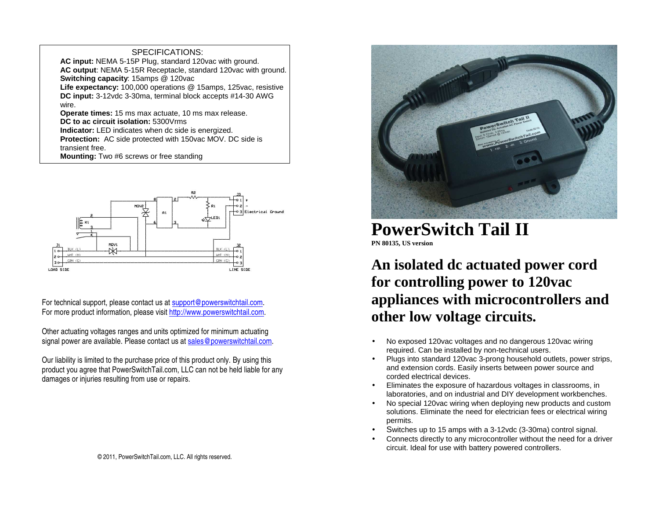## SPECIFICATIONS:

 **AC input:** NEMA 5-15P Plug, standard 120vac with ground. **AC output**: NEMA 5-15R Receptacle, standard 120vac with ground.**Switching capacity**: 15amps @ 120vac **Life expectancy:** 100,000 operations @ 15amps, 125vac, resistive **DC input:** 3-12vdc 3-30ma, terminal block accepts #14-30 AWG wire. **Operate times:** 15 ms max actuate, 10 ms max release. **DC to ac circuit isolation:** 5300Vrms **Indicator:** LED indicates when dc side is energized.

 **Protection:** AC side protected with 150vac MOV. DC side is transient free.

**Mounting:** Two #6 screws or free standing



For technical support, please contact us at support@powerswitchtail.com. For more product information, please visit http://www.powerswitchtail.com.

Other actuating voltages ranges and units optimized for minimum actuating signal power are available. Please contact us at sales@powerswitchtail.com.

Our liability is limited to the purchase price of this product only. By using this product you agree that PowerSwitchTail.com, LLC can not be held liable for any damages or injuries resulting from use or repairs.



## **PowerSwitch Tail II PN 80135, US version**

**An isolated dc actuated power cord for controlling power to 120vac appliances with microcontrollers and other low voltage circuits.**

- No exposed 120vac voltages and no dangerous 120vac wiring required. Can be installed by non-technical users.
- Plugs into standard 120vac 3-prong household outlets, power strips, and extension cords. Easily inserts between power source and corded electrical devices.
- Eliminates the exposure of hazardous voltages in classrooms, in laboratories, and on industrial and DIY development workbenches.
- No special 120vac wiring when deploying new products and custom solutions. Eliminate the need for electrician fees or electrical wiring permits.
- <sup>S</sup>witches up to 15 amps with a 3-12vdc (3-30ma) control signal. •
- Connects directly to any microcontroller without the need for a driver circuit. Ideal for use with battery powered controllers.